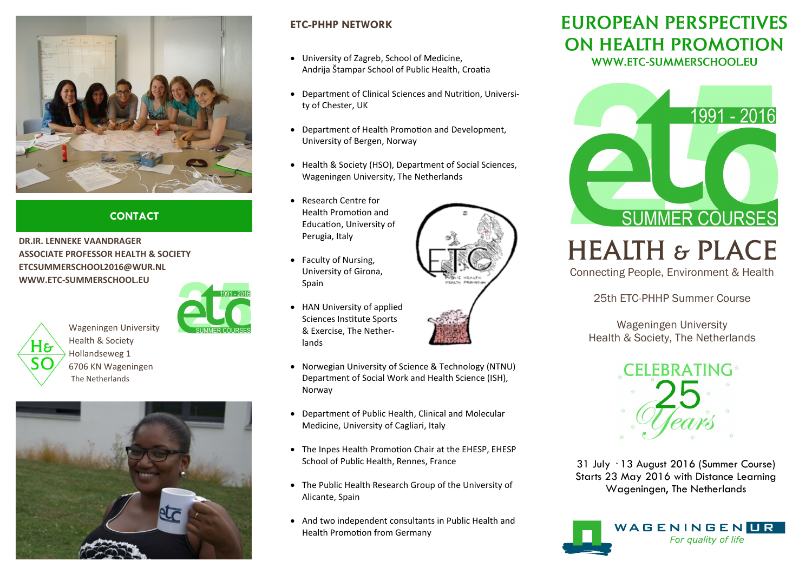

## **CONTACT**

**DR.IR. LENNEKE VAANDRAGER ASSOCIATE PROFESSOR HEALTH & SOCIETY ETCSUMMERSCHOOL2016@WUR.NL WWW.ETC-SUMMERSCHOOL.EU**



H& The Netherlands





### **ETC-PHHP NETWORK**

- University of Zagreb, School of Medicine, Andrija Štampar School of Public Health, Croatia
- Department of Clinical Sciences and Nutrition, University of Chester, UK
- Department of Health Promotion and Development, University of Bergen, Norway
- Health & Society (HSO), Department of Social Sciences, Wageningen University, The Netherlands
- Research Centre for Health Promotion and Education, University of Perugia, Italy
- Faculty of Nursing, University of Girona, Spain
- HAN University of applied Sciences Institute Sports & Exercise, The Netherlands
- Norwegian University of Science & Technology (NTNU) Department of Social Work and Health Science (ISH), Norway
- Department of Public Health, Clinical and Molecular Medicine, University of Cagliari, Italy
- The Inpes Health Promotion Chair at the EHESP, EHESP School of Public Health, Rennes, France
- The Public Health Research Group of the University of Alicante, Spain
- And two independent consultants in Public Health and Health Promotion from Germany

# **EUROPEAN PERSPECTIVES** ON HEALTH PROMOTION WWW.ETC-SUMMERSCHOOL.EU



# **HEALTH & PLACE**

Connecting People, Environment & Health

25th ETC-PHHP Summer Course

Wageningen University Health & Society, The Netherlands



31 July - 13 August 2016 (Summer Course) Starts 23 May 2016 with Distance Learning Wageningen, The Netherlands